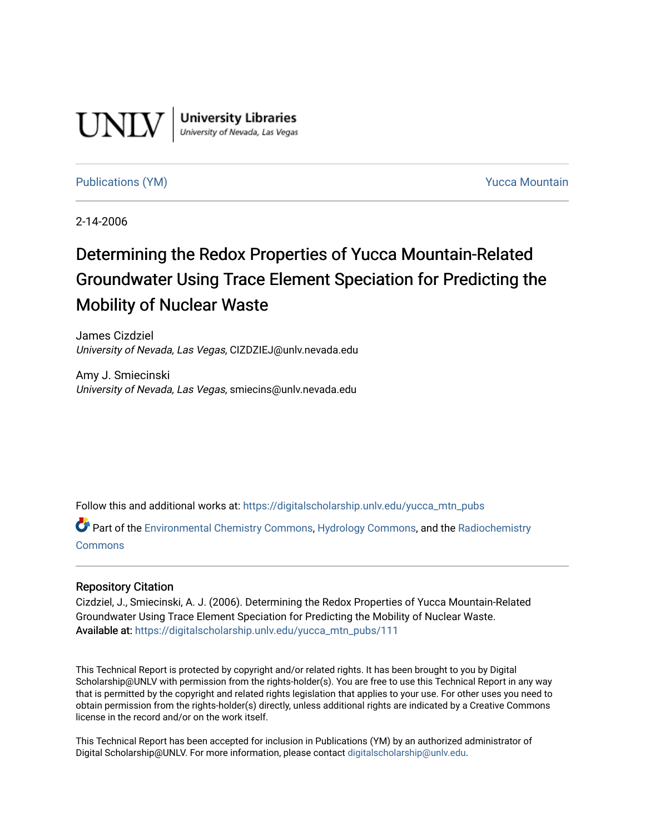

**University Libraries**<br>University of Nevada, Las Vegas

#### [Publications \(YM\)](https://digitalscholarship.unlv.edu/yucca_mtn_pubs) **Publications (YM) Publications (YM) Publications** (*YM*)

2-14-2006

# Determining the Redox Properties of Yucca Mountain-Related Groundwater Using Trace Element Speciation for Predicting the Mobility of Nuclear Waste

James Cizdziel University of Nevada, Las Vegas, CIZDZIEJ@unlv.nevada.edu

Amy J. Smiecinski University of Nevada, Las Vegas, smiecins@unlv.nevada.edu

Follow this and additional works at: [https://digitalscholarship.unlv.edu/yucca\\_mtn\\_pubs](https://digitalscholarship.unlv.edu/yucca_mtn_pubs?utm_source=digitalscholarship.unlv.edu%2Fyucca_mtn_pubs%2F111&utm_medium=PDF&utm_campaign=PDFCoverPages)

Part of the [Environmental Chemistry Commons](http://network.bepress.com/hgg/discipline/134?utm_source=digitalscholarship.unlv.edu%2Fyucca_mtn_pubs%2F111&utm_medium=PDF&utm_campaign=PDFCoverPages), [Hydrology Commons](http://network.bepress.com/hgg/discipline/1054?utm_source=digitalscholarship.unlv.edu%2Fyucca_mtn_pubs%2F111&utm_medium=PDF&utm_campaign=PDFCoverPages), and the [Radiochemistry](http://network.bepress.com/hgg/discipline/1196?utm_source=digitalscholarship.unlv.edu%2Fyucca_mtn_pubs%2F111&utm_medium=PDF&utm_campaign=PDFCoverPages) [Commons](http://network.bepress.com/hgg/discipline/1196?utm_source=digitalscholarship.unlv.edu%2Fyucca_mtn_pubs%2F111&utm_medium=PDF&utm_campaign=PDFCoverPages)

#### Repository Citation

Cizdziel, J., Smiecinski, A. J. (2006). Determining the Redox Properties of Yucca Mountain-Related Groundwater Using Trace Element Speciation for Predicting the Mobility of Nuclear Waste. Available at: [https://digitalscholarship.unlv.edu/yucca\\_mtn\\_pubs/111](https://digitalscholarship.unlv.edu/yucca_mtn_pubs/111) 

This Technical Report is protected by copyright and/or related rights. It has been brought to you by Digital Scholarship@UNLV with permission from the rights-holder(s). You are free to use this Technical Report in any way that is permitted by the copyright and related rights legislation that applies to your use. For other uses you need to obtain permission from the rights-holder(s) directly, unless additional rights are indicated by a Creative Commons license in the record and/or on the work itself.

This Technical Report has been accepted for inclusion in Publications (YM) by an authorized administrator of Digital Scholarship@UNLV. For more information, please contact [digitalscholarship@unlv.edu](mailto:digitalscholarship@unlv.edu).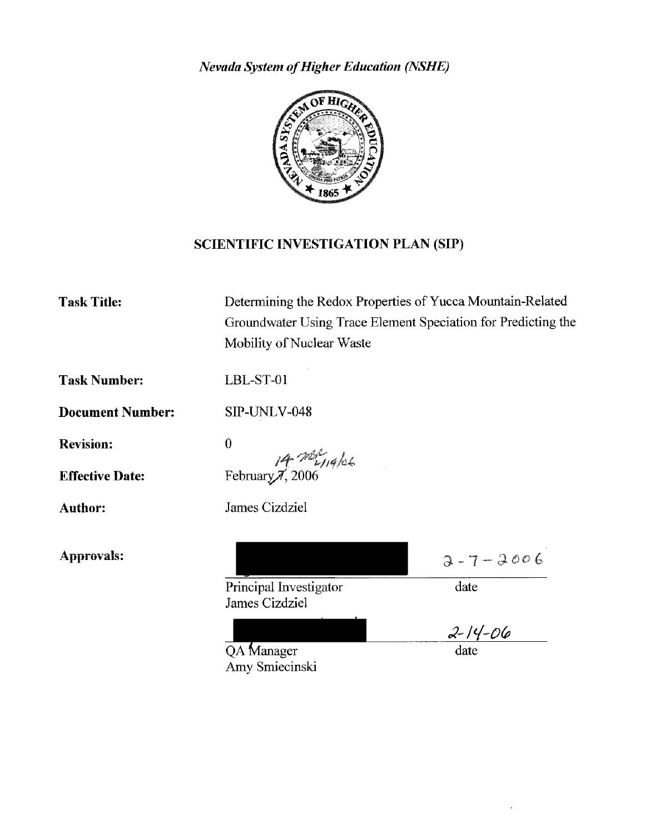*Nevada System of Higher Education (NSHE)* 



## SCIENTIFIC INVESTIGATION PLAN (SIP)

| <b>Task Title:</b>      | Determining the Redox Properties of Yucca Mountain-Related<br>Groundwater Using Trace Element Speciation for Predicting the<br>Mobility of Nuclear Waste |                |
|-------------------------|----------------------------------------------------------------------------------------------------------------------------------------------------------|----------------|
| <b>Task Number:</b>     | LBL-ST-01                                                                                                                                                |                |
| <b>Document Number:</b> | SIP-UNLV-048                                                                                                                                             |                |
| <b>Revision:</b>        | $\bf{0}$                                                                                                                                                 |                |
| <b>Effective Date:</b>  | $\frac{j4}{2} \frac{78\%}{119}$ February 7, 2006                                                                                                         |                |
| Author:                 | James Cizdziel                                                                                                                                           |                |
| Approvals:              |                                                                                                                                                          | $2 - 7 - 2006$ |
|                         | Principal Investigator<br>James Cizdziel                                                                                                                 | date           |
|                         |                                                                                                                                                          | $2 - 14 - 06$  |
|                         | QA Manager<br>Amy Smiecinski                                                                                                                             | date           |

 $\epsilon$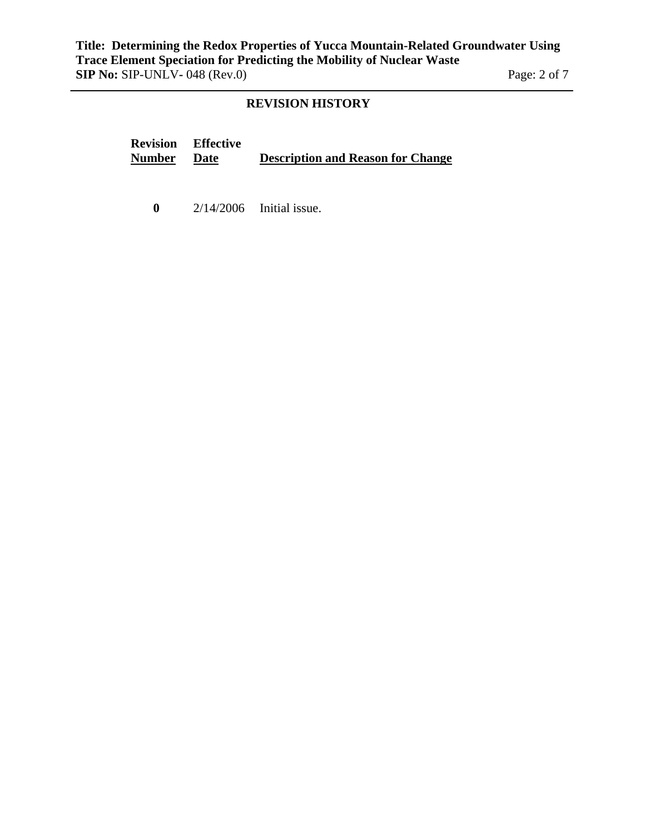### **REVISION HISTORY**

**Revision Number Effective Description and Reason for Change** 

**0** 2/14/2006 Initial issue.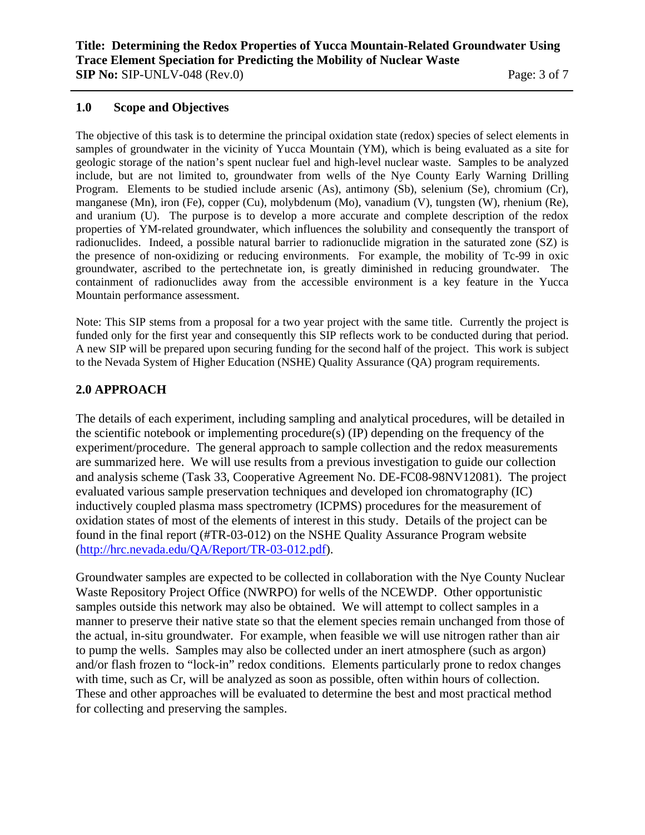#### **1.0 Scope and Objectives**

The objective of this task is to determine the principal oxidation state (redox) species of select elements in samples of groundwater in the vicinity of Yucca Mountain (YM), which is being evaluated as a site for geologic storage of the nation's spent nuclear fuel and high-level nuclear waste. Samples to be analyzed include, but are not limited to, groundwater from wells of the Nye County Early Warning Drilling Program. Elements to be studied include arsenic (As), antimony (Sb), selenium (Se), chromium (Cr), manganese (Mn), iron (Fe), copper (Cu), molybdenum (Mo), vanadium (V), tungsten (W), rhenium (Re), and uranium (U). The purpose is to develop a more accurate and complete description of the redox properties of YM-related groundwater, which influences the solubility and consequently the transport of radionuclides. Indeed, a possible natural barrier to radionuclide migration in the saturated zone (SZ) is the presence of non-oxidizing or reducing environments. For example, the mobility of Tc-99 in oxic groundwater, ascribed to the pertechnetate ion, is greatly diminished in reducing groundwater. The containment of radionuclides away from the accessible environment is a key feature in the Yucca Mountain performance assessment.

Note: This SIP stems from a proposal for a two year project with the same title. Currently the project is funded only for the first year and consequently this SIP reflects work to be conducted during that period. A new SIP will be prepared upon securing funding for the second half of the project. This work is subject to the Nevada System of Higher Education (NSHE) Quality Assurance (QA) program requirements.

### **2.0 APPROACH**

The details of each experiment, including sampling and analytical procedures, will be detailed in the scientific notebook or implementing procedure(s) (IP) depending on the frequency of the experiment/procedure. The general approach to sample collection and the redox measurements are summarized here. We will use results from a previous investigation to guide our collection and analysis scheme (Task 33, Cooperative Agreement No. DE-FC08-98NV12081). The project evaluated various sample preservation techniques and developed ion chromatography (IC) inductively coupled plasma mass spectrometry (ICPMS) procedures for the measurement of oxidation states of most of the elements of interest in this study. Details of the project can be found in the final report (#TR-03-012) on the NSHE Quality Assurance Program website (http://hrc.nevada.edu/QA/Report/TR-03-012.pdf).

Groundwater samples are expected to be collected in collaboration with the Nye County Nuclear Waste Repository Project Office (NWRPO) for wells of the NCEWDP. Other opportunistic samples outside this network may also be obtained. We will attempt to collect samples in a manner to preserve their native state so that the element species remain unchanged from those of the actual, in-situ groundwater. For example, when feasible we will use nitrogen rather than air to pump the wells. Samples may also be collected under an inert atmosphere (such as argon) and/or flash frozen to "lock-in" redox conditions. Elements particularly prone to redox changes with time, such as Cr, will be analyzed as soon as possible, often within hours of collection. These and other approaches will be evaluated to determine the best and most practical method for collecting and preserving the samples.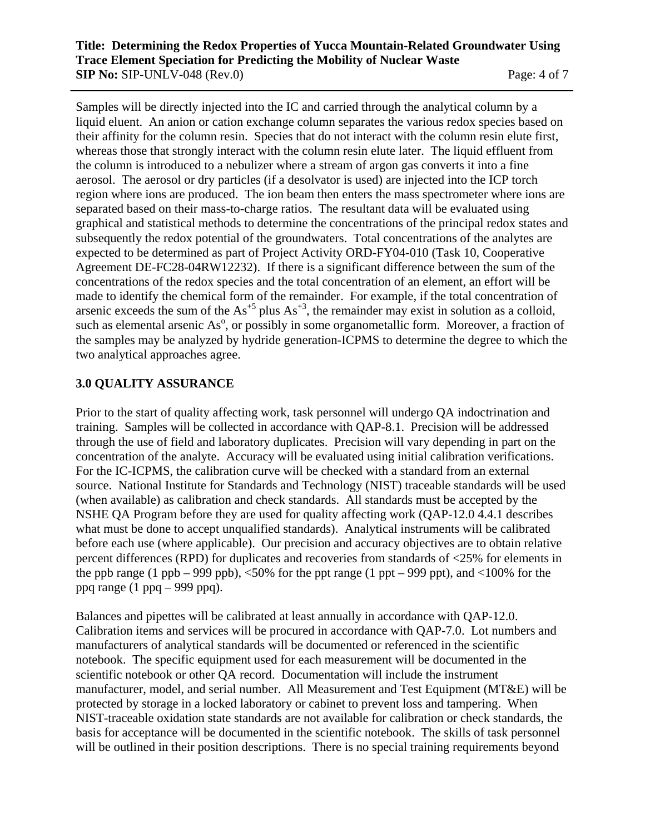#### **Title: Determining the Redox Properties of Yucca Mountain-Related Groundwater Using Trace Element Speciation for Predicting the Mobility of Nuclear Waste SIP No:** SIP-UNLV-048 (Rev.0) Page: 4 of 7

Samples will be directly injected into the IC and carried through the analytical column by a liquid eluent. An anion or cation exchange column separates the various redox species based on their affinity for the column resin. Species that do not interact with the column resin elute first, whereas those that strongly interact with the column resin elute later. The liquid effluent from the column is introduced to a nebulizer where a stream of argon gas converts it into a fine aerosol. The aerosol or dry particles (if a desolvator is used) are injected into the ICP torch region where ions are produced. The ion beam then enters the mass spectrometer where ions are separated based on their mass-to-charge ratios. The resultant data will be evaluated using graphical and statistical methods to determine the concentrations of the principal redox states and subsequently the redox potential of the groundwaters. Total concentrations of the analytes are expected to be determined as part of Project Activity ORD-FY04-010 (Task 10, Cooperative Agreement DE-FC28-04RW12232). If there is a significant difference between the sum of the concentrations of the redox species and the total concentration of an element, an effort will be made to identify the chemical form of the remainder. For example, if the total concentration of arsenic exceeds the sum of the  $As^{+5}$  plus  $As^{+3}$ , the remainder may exist in solution as a colloid, such as elemental arsenic  $As<sup>o</sup>$ , or possibly in some organometallic form. Moreover, a fraction of the samples may be analyzed by hydride generation-ICPMS to determine the degree to which the two analytical approaches agree.

## **3.0 QUALITY ASSURANCE**

Prior to the start of quality affecting work, task personnel will undergo QA indoctrination and training. Samples will be collected in accordance with QAP-8.1. Precision will be addressed through the use of field and laboratory duplicates. Precision will vary depending in part on the concentration of the analyte. Accuracy will be evaluated using initial calibration verifications. For the IC-ICPMS, the calibration curve will be checked with a standard from an external source. National Institute for Standards and Technology (NIST) traceable standards will be used (when available) as calibration and check standards. All standards must be accepted by the NSHE QA Program before they are used for quality affecting work (QAP-12.0 4.4.1 describes what must be done to accept unqualified standards). Analytical instruments will be calibrated before each use (where applicable). Our precision and accuracy objectives are to obtain relative percent differences (RPD) for duplicates and recoveries from standards of <25% for elements in the ppb range (1 ppb – 999 ppb),  $\langle 50\%$  for the ppt range (1 ppt – 999 ppt), and  $\langle 100\%$  for the ppq range  $(1 \text{ ppq} - 999 \text{ ppq})$ .

Balances and pipettes will be calibrated at least annually in accordance with QAP-12.0. Calibration items and services will be procured in accordance with QAP-7.0. Lot numbers and manufacturers of analytical standards will be documented or referenced in the scientific notebook. The specific equipment used for each measurement will be documented in the scientific notebook or other QA record. Documentation will include the instrument manufacturer, model, and serial number. All Measurement and Test Equipment (MT&E) will be protected by storage in a locked laboratory or cabinet to prevent loss and tampering. When NIST-traceable oxidation state standards are not available for calibration or check standards, the basis for acceptance will be documented in the scientific notebook. The skills of task personnel will be outlined in their position descriptions. There is no special training requirements beyond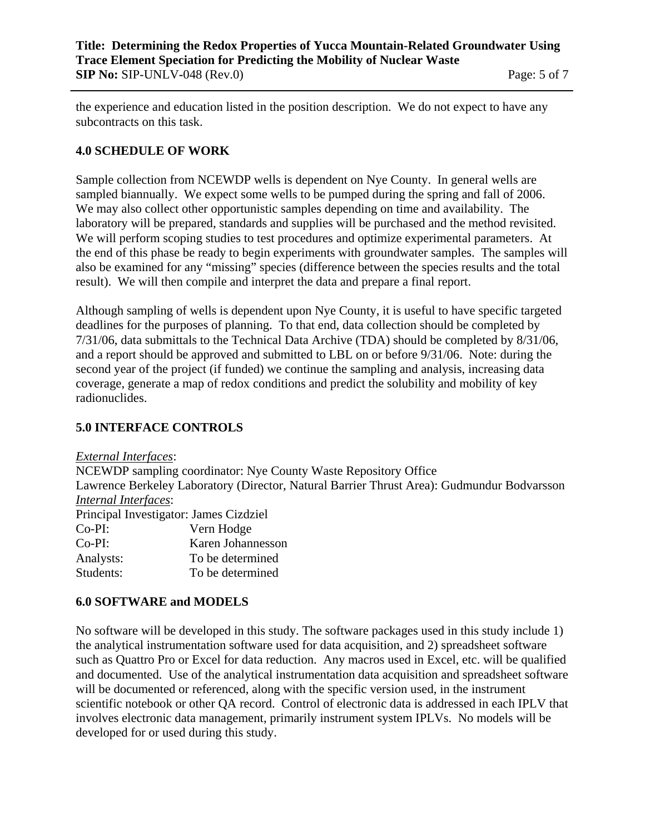### **Title: Determining the Redox Properties of Yucca Mountain-Related Groundwater Using Trace Element Speciation for Predicting the Mobility of Nuclear Waste SIP No:** SIP-UNLV-048 (Rev.0) Page: 5 of 7

the experience and education listed in the position description. We do not expect to have any subcontracts on this task.

## **4.0 SCHEDULE OF WORK**

Sample collection from NCEWDP wells is dependent on Nye County. In general wells are sampled biannually. We expect some wells to be pumped during the spring and fall of 2006. We may also collect other opportunistic samples depending on time and availability. The laboratory will be prepared, standards and supplies will be purchased and the method revisited. We will perform scoping studies to test procedures and optimize experimental parameters. At the end of this phase be ready to begin experiments with groundwater samples. The samples will also be examined for any "missing" species (difference between the species results and the total result). We will then compile and interpret the data and prepare a final report.

Although sampling of wells is dependent upon Nye County, it is useful to have specific targeted deadlines for the purposes of planning. To that end, data collection should be completed by 7/31/06, data submittals to the Technical Data Archive (TDA) should be completed by 8/31/06, and a report should be approved and submitted to LBL on or before 9/31/06. Note: during the second year of the project (if funded) we continue the sampling and analysis, increasing data coverage, generate a map of redox conditions and predict the solubility and mobility of key radionuclides.

## **5.0 INTERFACE CONTROLS**

*External Interfaces*:

NCEWDP sampling coordinator: Nye County Waste Repository Office Lawrence Berkeley Laboratory (Director, Natural Barrier Thrust Area): Gudmundur Bodvarsson *Internal Interfaces*: Principal Investigator: James Cizdziel Co-PI: Vern Hodge Co-PI: Karen Johannesson Analysts: To be determined

Students: To be determined

## **6.0 SOFTWARE and MODELS**

No software will be developed in this study. The software packages used in this study include 1) the analytical instrumentation software used for data acquisition, and 2) spreadsheet software such as Quattro Pro or Excel for data reduction. Any macros used in Excel, etc. will be qualified and documented. Use of the analytical instrumentation data acquisition and spreadsheet software will be documented or referenced, along with the specific version used, in the instrument scientific notebook or other QA record. Control of electronic data is addressed in each IPLV that involves electronic data management, primarily instrument system IPLVs. No models will be developed for or used during this study.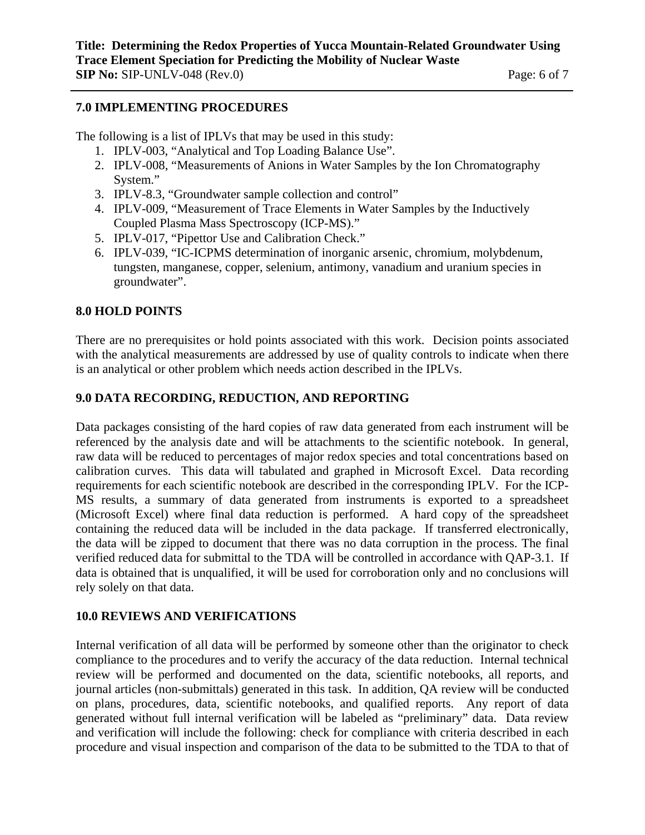#### **7.0 IMPLEMENTING PROCEDURES**

The following is a list of IPLVs that may be used in this study:

- 1. IPLV-003, "Analytical and Top Loading Balance Use".
- 2. IPLV-008, "Measurements of Anions in Water Samples by the Ion Chromatography System."
- 3. IPLV-8.3, "Groundwater sample collection and control"
- 4. IPLV-009, "Measurement of Trace Elements in Water Samples by the Inductively Coupled Plasma Mass Spectroscopy (ICP-MS)."
- 5. IPLV-017, "Pipettor Use and Calibration Check."
- 6. IPLV-039, "IC-ICPMS determination of inorganic arsenic, chromium, molybdenum, tungsten, manganese, copper, selenium, antimony, vanadium and uranium species in groundwater".

## **8.0 HOLD POINTS**

There are no prerequisites or hold points associated with this work. Decision points associated with the analytical measurements are addressed by use of quality controls to indicate when there is an analytical or other problem which needs action described in the IPLVs.

## **9.0 DATA RECORDING, REDUCTION, AND REPORTING**

Data packages consisting of the hard copies of raw data generated from each instrument will be referenced by the analysis date and will be attachments to the scientific notebook. In general, raw data will be reduced to percentages of major redox species and total concentrations based on calibration curves. This data will tabulated and graphed in Microsoft Excel. Data recording requirements for each scientific notebook are described in the corresponding IPLV. For the ICP-MS results, a summary of data generated from instruments is exported to a spreadsheet (Microsoft Excel) where final data reduction is performed. A hard copy of the spreadsheet containing the reduced data will be included in the data package. If transferred electronically, the data will be zipped to document that there was no data corruption in the process. The final verified reduced data for submittal to the TDA will be controlled in accordance with QAP-3.1. If data is obtained that is unqualified, it will be used for corroboration only and no conclusions will rely solely on that data.

## **10.0 REVIEWS AND VERIFICATIONS**

Internal verification of all data will be performed by someone other than the originator to check compliance to the procedures and to verify the accuracy of the data reduction. Internal technical review will be performed and documented on the data, scientific notebooks, all reports, and journal articles (non-submittals) generated in this task. In addition, QA review will be conducted on plans, procedures, data, scientific notebooks, and qualified reports. Any report of data generated without full internal verification will be labeled as "preliminary" data. Data review and verification will include the following: check for compliance with criteria described in each procedure and visual inspection and comparison of the data to be submitted to the TDA to that of